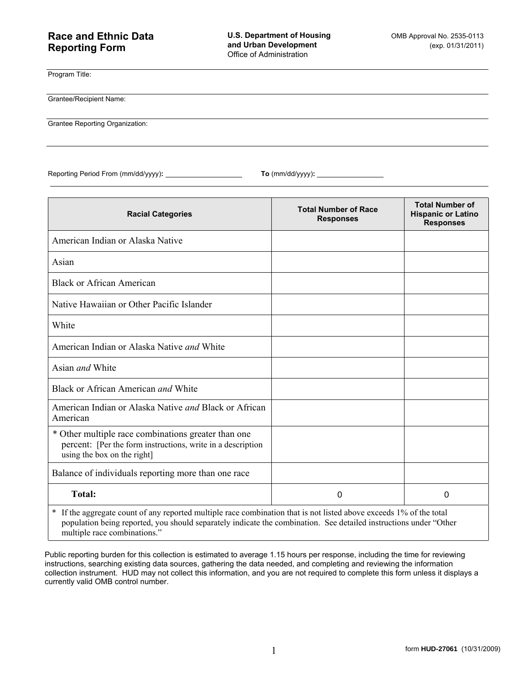## **Race and Ethnic Data Reporting Form**

Program Title:

Grantee/Recipient Name:

Grantee Reporting Organization:

Reporting Period From (mm/dd/yyyy)**: To** (mm/dd/yyyy)**:** 

| <b>Racial Categories</b>                                                                                                                          | <b>Total Number of Race</b><br><b>Responses</b> | <b>Total Number of</b><br><b>Hispanic or Latino</b><br><b>Responses</b> |  |
|---------------------------------------------------------------------------------------------------------------------------------------------------|-------------------------------------------------|-------------------------------------------------------------------------|--|
| American Indian or Alaska Native                                                                                                                  |                                                 |                                                                         |  |
| Asian                                                                                                                                             |                                                 |                                                                         |  |
| <b>Black or African American</b>                                                                                                                  |                                                 |                                                                         |  |
| Native Hawaiian or Other Pacific Islander                                                                                                         |                                                 |                                                                         |  |
| White                                                                                                                                             |                                                 |                                                                         |  |
| American Indian or Alaska Native and White                                                                                                        |                                                 |                                                                         |  |
| Asian and White                                                                                                                                   |                                                 |                                                                         |  |
| Black or African American <i>and</i> White                                                                                                        |                                                 |                                                                         |  |
| American Indian or Alaska Native <i>and</i> Black or African<br>American                                                                          |                                                 |                                                                         |  |
| * Other multiple race combinations greater than one<br>percent: [Per the form instructions, write in a description<br>using the box on the right] |                                                 |                                                                         |  |
| Balance of individuals reporting more than one race                                                                                               |                                                 |                                                                         |  |
| <b>Total:</b>                                                                                                                                     | $\Omega$                                        | 0                                                                       |  |
| * If the aggregate count of any reported multiple race combination that is not listed above exceeds 1% of the total                               |                                                 |                                                                         |  |

population being reported, you should separately indicate the combination. See detailed instructions under "Other multiple race combinations."

Public reporting burden for this collection is estimated to average 1.15 hours per response, including the time for reviewing instructions, searching existing data sources, gathering the data needed, and completing and reviewing the information collection instrument. HUD may not collect this information, and you are not required to complete this form unless it displays a currently valid OMB control number.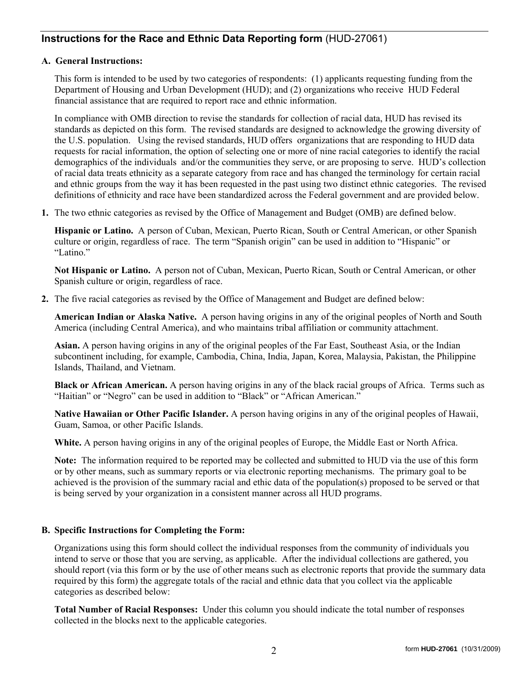## **Instructions for the Race and Ethnic Data Reporting form** (HUD-27061)

## **A. General Instructions:**

This form is intended to be used by two categories of respondents: (1) applicants requesting funding from the Department of Housing and Urban Development (HUD); and (2) organizations who receive HUD Federal financial assistance that are required to report race and ethnic information.

In compliance with OMB direction to revise the standards for collection of racial data, HUD has revised its standards as depicted on this form. The revised standards are designed to acknowledge the growing diversity of the U.S. population. Using the revised standards, HUD offers organizations that are responding to HUD data requests for racial information, the option of selecting one or more of nine racial categories to identify the racial demographics of the individuals and/or the communities they serve, or are proposing to serve. HUD's collection of racial data treats ethnicity as a separate category from race and has changed the terminology for certain racial and ethnic groups from the way it has been requested in the past using two distinct ethnic categories. The revised definitions of ethnicity and race have been standardized across the Federal government and are provided below.

**1.** The two ethnic categories as revised by the Office of Management and Budget (OMB) are defined below.

**Hispanic or Latino.** A person of Cuban, Mexican, Puerto Rican, South or Central American, or other Spanish culture or origin, regardless of race. The term "Spanish origin" can be used in addition to "Hispanic" or "Latino."

**Not Hispanic or Latino.** A person not of Cuban, Mexican, Puerto Rican, South or Central American, or other Spanish culture or origin, regardless of race.

**2.** The five racial categories as revised by the Office of Management and Budget are defined below:

**American Indian or Alaska Native.** A person having origins in any of the original peoples of North and South America (including Central America), and who maintains tribal affiliation or community attachment.

**Asian.** A person having origins in any of the original peoples of the Far East, Southeast Asia, or the Indian subcontinent including, for example, Cambodia, China, India, Japan, Korea, Malaysia, Pakistan, the Philippine Islands, Thailand, and Vietnam.

**Black or African American.** A person having origins in any of the black racial groups of Africa. Terms such as "Haitian" or "Negro" can be used in addition to "Black" or "African American."

**Native Hawaiian or Other Pacific Islander.** A person having origins in any of the original peoples of Hawaii, Guam, Samoa, or other Pacific Islands.

**White.** A person having origins in any of the original peoples of Europe, the Middle East or North Africa.

**Note:** The information required to be reported may be collected and submitted to HUD via the use of this form or by other means, such as summary reports or via electronic reporting mechanisms. The primary goal to be achieved is the provision of the summary racial and ethic data of the population(s) proposed to be served or that is being served by your organization in a consistent manner across all HUD programs.

## **B. Specific Instructions for Completing the Form:**

Organizations using this form should collect the individual responses from the community of individuals you intend to serve or those that you are serving, as applicable. After the individual collections are gathered, you should report (via this form or by the use of other means such as electronic reports that provide the summary data required by this form) the aggregate totals of the racial and ethnic data that you collect via the applicable categories as described below:

**Total Number of Racial Responses:** Under this column you should indicate the total number of responses collected in the blocks next to the applicable categories.